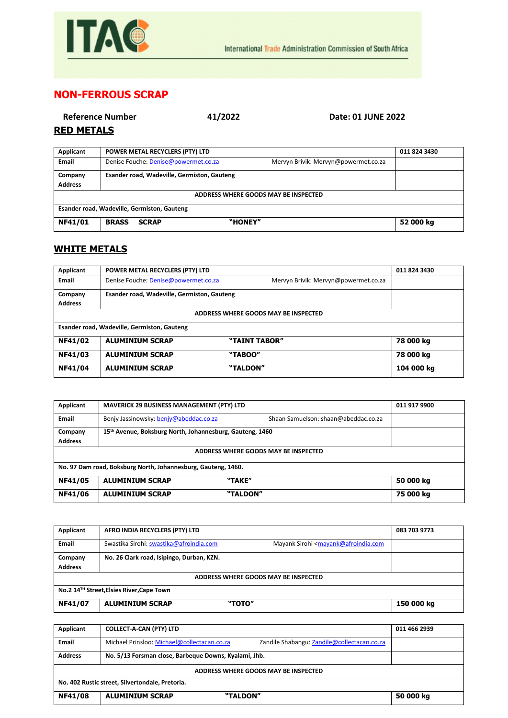

## **NON-FERROUS SCRAP**

|                   | Reference Number                       | 41/2022 | Date: 01 JUNE 2022 |
|-------------------|----------------------------------------|---------|--------------------|
| <b>RED METALS</b> |                                        |         |                    |
| Applicant         | <b>POWER METAL RECYCLERS (PTY) LTD</b> |         | 01                 |

| Applicant                                   | POWER METAL RECYCLERS (PTY) LTD                                              | 011 824 3430 |  |
|---------------------------------------------|------------------------------------------------------------------------------|--------------|--|
| Email                                       | Denise Fouche: Denise@powermet.co.za<br>Mervyn Brivik: Mervyn@powermet.co.za |              |  |
| Company                                     | Esander road, Wadeville, Germiston, Gauteng                                  |              |  |
| <b>Address</b>                              |                                                                              |              |  |
| ADDRESS WHERE GOODS MAY BE INSPECTED        |                                                                              |              |  |
| Esander road, Wadeville, Germiston, Gauteng |                                                                              |              |  |
| NF41/01                                     | <b>BRASS</b><br>"HONEY"<br><b>SCRAP</b>                                      | 52 000 kg    |  |

## **WHITE METALS**

| Applicant                                   | POWER METAL RECYCLERS (PTY) LTD             |                                      | 011 824 3430 |
|---------------------------------------------|---------------------------------------------|--------------------------------------|--------------|
| <b>Email</b>                                | Denise Fouche: Denise@powermet.co.za        | Mervyn Brivik: Mervyn@powermet.co.za |              |
| Company                                     | Esander road, Wadeville, Germiston, Gauteng |                                      |              |
| <b>Address</b>                              |                                             |                                      |              |
| ADDRESS WHERE GOODS MAY BE INSPECTED        |                                             |                                      |              |
| Esander road, Wadeville, Germiston, Gauteng |                                             |                                      |              |
| NF41/02                                     | <b>ALUMINIUM SCRAP</b>                      | "TAINT TABOR"                        | 78 000 kg    |
| NF41/03                                     | <b>ALUMINIUM SCRAP</b>                      | "TABOO"                              | 78 000 kg    |
| NF41/04                                     | <b>ALUMINIUM SCRAP</b>                      | "TALDON"                             | 104 000 kg   |

| Applicant                                                     | <b>MAVERICK 29 BUSINESS MANAGEMENT (PTY) LTD</b>                               | 011 917 9900 |  |
|---------------------------------------------------------------|--------------------------------------------------------------------------------|--------------|--|
| <b>Email</b>                                                  | Benjy Jassinowsky: benjy@abeddac.co.za<br>Shaan Samuelson: shaan@abeddac.co.za |              |  |
| Company                                                       | 15th Avenue, Boksburg North, Johannesburg, Gauteng, 1460                       |              |  |
| <b>Address</b>                                                |                                                                                |              |  |
| ADDRESS WHERE GOODS MAY BE INSPECTED                          |                                                                                |              |  |
| No. 97 Dam road, Boksburg North, Johannesburg, Gauteng, 1460. |                                                                                |              |  |
| <b>NF41/05</b>                                                | <b>ALUMINIUM SCRAP</b><br>"TAKE"                                               | 50 000 kg    |  |
| <b>NF41/06</b>                                                | <b>ALUMINIUM SCRAP</b><br>"TALDON"                                             | 75 000 kg    |  |

| Applicant                                | AFRO INDIA RECYCLERS (PTY) LTD                                                                                          | 083 703 9773 |  |
|------------------------------------------|-------------------------------------------------------------------------------------------------------------------------|--------------|--|
| Email                                    | Swastika Sirohi: swastika@afroindia.com<br>Mayank Sirohi <mayank@afroindia.com< th=""><th></th></mayank@afroindia.com<> |              |  |
| Company                                  | No. 26 Clark road, Isipingo, Durban, KZN.                                                                               |              |  |
| <b>Address</b>                           |                                                                                                                         |              |  |
| ADDRESS WHERE GOODS MAY BE INSPECTED     |                                                                                                                         |              |  |
| No.2 14™ Street, Elsies River, Cape Town |                                                                                                                         |              |  |
| NF41/07                                  | <b>ALUMINIUM SCRAP</b><br>"TOTO"                                                                                        | 150 000 kg   |  |

| Applicant                                       | <b>COLLECT-A-CAN (PTY) LTD</b>                                                             | 011 466 2939 |  |
|-------------------------------------------------|--------------------------------------------------------------------------------------------|--------------|--|
| Email                                           | Michael Prinsloo: Michael@collectacan.co.za<br>Zandile Shabangu: Zandile@collectacan.co.za |              |  |
| <b>Address</b>                                  | No. 5/13 Forsman close, Barbeque Downs, Kyalami, Jhb.                                      |              |  |
| ADDRESS WHERE GOODS MAY BE INSPECTED            |                                                                                            |              |  |
| No. 402 Rustic street, Silvertondale, Pretoria. |                                                                                            |              |  |
| <b>NF41/08</b>                                  | <b>ALUMINIUM SCRAP</b><br>"TALDON"                                                         | 50 000 kg    |  |